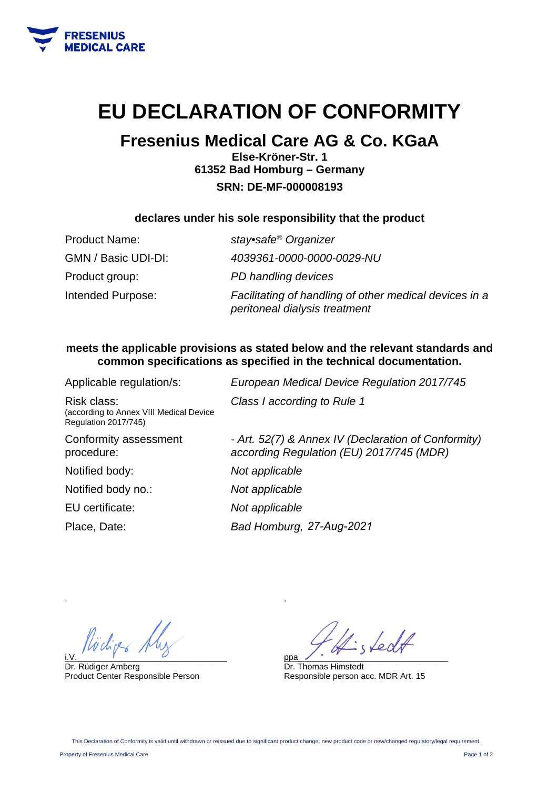

## **EU DECLARATION OF CONFORMITY**

### **Fresenius Medical Care AG & Co. KGaA**

**Else-Kröner-Str. 1 61352 Bad Homburg – Germany SRN: DE-MF-000008193** 

#### **declares under his sole responsibility that the product**

| <b>Product Name:</b> | stay•safe® Organizer                                                                    |
|----------------------|-----------------------------------------------------------------------------------------|
| GMN / Basic UDI-DI:  | 4039361-0000-0000-0029-NU                                                               |
| Product group:       | PD handling devices                                                                     |
| Intended Purpose:    | Facilitating of handling of other medical devices in a<br>peritoneal dialysis treatment |

#### **meets the applicable provisions as stated below and the relevant standards and common specifications as specified in the technical documentation.**

| Applicable regulation/s:                                                              | European Medical Device Regulation 2017/745                                                     |
|---------------------------------------------------------------------------------------|-------------------------------------------------------------------------------------------------|
| Risk class:<br>(according to Annex VIII Medical Device<br><b>Regulation 2017/745)</b> | Class I according to Rule 1                                                                     |
| Conformity assessment<br>procedure:                                                   | - Art. 52(7) & Annex IV (Declaration of Conformity)<br>according Regulation (EU) 2017/745 (MDR) |
| Notified body:                                                                        | Not applicable                                                                                  |
| Notified body no.:                                                                    | Not applicable                                                                                  |
| EU certificate:                                                                       | Not applicable                                                                                  |
| Place, Date:                                                                          | Bad Homburg, 27-Aug-2021                                                                        |

i.V.  $\overline{y}$  and  $\overline{y}$  and  $\overline{y}$  and  $\overline{y}$  and  $\overline{y}$  and  $\overline{y}$  and  $\overline{y}$  and  $\overline{y}$  and  $\overline{y}$  and  $\overline{y}$  and  $\overline{y}$  and  $\overline{y}$  and  $\overline{y}$  and  $\overline{y}$  and  $\overline{y}$  and  $\overline{y}$  and  $\overline{y}$ 

Dr. Rüdiger Amberg Product Center Responsible Person

fedt ppa\_\_\_\_\_\_\_\_\_\_\_\_\_\_\_\_\_\_\_\_\_\_\_\_\_\_\_\_\_\_\_\_

Dr. Thomas Himstedt Responsible person acc. MDR Art. 15

.

.